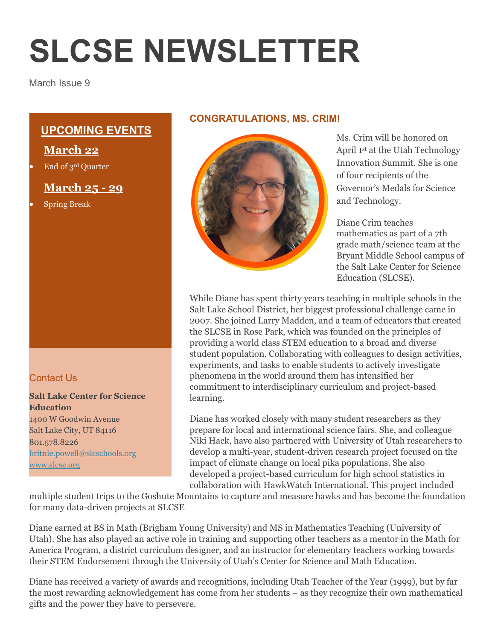# **SLCSE NEWSLETTER**

March Issue 9

# **UPCOMING EVENTS**

# **March 22**

End of 3rd Quarter

# **March 25 - 29**

Spring Break

# Contact Us

#### **Salt Lake Center for Science Education** 1400 W Goodwin Avenue Salt Lake City, UT 84116 801.578.8226 [britnie.powell@slcschools.org](mailto:britnie.powell@slcschools.org) [www.slcse.org](http://www.slcse.org/)

## **CONGRATULATIONS, MS. CRIM!**



Ms. Crim will be honored on April 1st at the Utah Technology Innovation Summit. She is one of four recipients of the Governor's Medals for Science and Technology.

Diane Crim teaches mathematics as part of a 7th grade math/science team at the Bryant Middle School campus of the Salt Lake Center for Science Education (SLCSE).

While Diane has spent thirty years teaching in multiple schools in the Salt Lake School District, her biggest professional challenge came in 2007. She joined Larry Madden, and a team of educators that created the SLCSE in Rose Park, which was founded on the principles of providing a world class STEM education to a broad and diverse student population. Collaborating with colleagues to design activities, experiments, and tasks to enable students to actively investigate phenomena in the world around them has intensified her commitment to interdisciplinary curriculum and project-based learning.

Diane has worked closely with many student researchers as they prepare for local and international science fairs. She, and colleague Niki Hack, have also partnered with University of Utah researchers to develop a multi-year, student-driven research project focused on the impact of climate change on local pika populations. She also developed a project-based curriculum for high school statistics in collaboration with HawkWatch International. This project included

multiple student trips to the Goshute Mountains to capture and measure hawks and has become the foundation for many data-driven projects at SLCSE

Diane earned at BS in Math (Brigham Young University) and MS in Mathematics Teaching (University of Utah). She has also played an active role in training and supporting other teachers as a mentor in the Math for America Program, a district curriculum designer, and an instructor for elementary teachers working towards their STEM Endorsement through the University of Utah's Center for Science and Math Education.

Diane has received a variety of awards and recognitions, including Utah Teacher of the Year (1999), but by far the most rewarding acknowledgement has come from her students – as they recognize their own mathematical gifts and the power they have to persevere.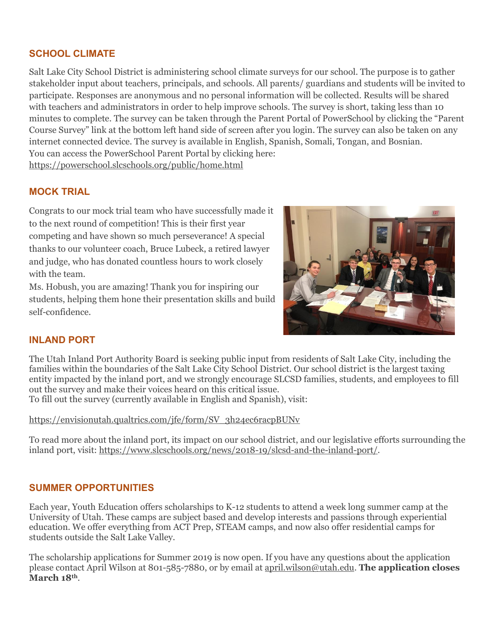## **SCHOOL CLIMATE**

Salt Lake City School District is administering school climate surveys for our school. The purpose is to gather stakeholder input about teachers, principals, and schools. All parents/ guardians and students will be invited to participate. Responses are anonymous and no personal information will be collected. Results will be shared with teachers and administrators in order to help improve schools. The survey is short, taking less than 10 minutes to complete. The survey can be taken through the Parent Portal of PowerSchool by clicking the "Parent Course Survey" link at the bottom left hand side of screen after you login. The survey can also be taken on any internet connected device. The survey is available in English, Spanish, Somali, Tongan, and Bosnian. You can access the PowerSchool Parent Portal by clicking here: <https://powerschool.slcschools.org/public/home.html>

## **MOCK TRIAL**

Congrats to our mock trial team who have successfully made it to the next round of competition! This is their first year competing and have shown so much perseverance! A special thanks to our volunteer coach, Bruce Lubeck, a retired lawyer and judge, who has donated countless hours to work closely with the team.

Ms. Hobush, you are amazing! Thank you for inspiring our students, helping them hone their presentation skills and build self-confidence.



## **INLAND PORT**

The Utah Inland Port Authority Board is seeking public input from residents of Salt Lake City, including the families within the boundaries of the Salt Lake City School District. Our school district is the largest taxing entity impacted by the inland port, and we strongly encourage SLCSD families, students, and employees to fill out the survey and make their voices heard on this critical issue.

To fill out the survey (currently available in English and Spanish), visit:

#### [https://envisionutah.qualtrics.com/jfe/form/SV\\_3h24ec6racpBUNv](https://envisionutah.qualtrics.com/jfe/form/SV_3h24ec6racpBUNv)

To read more about the inland port, its impact on our school district, and our legislative efforts surrounding the inland port, visit: [https://www.slcschools.org/news/2018-19/slcsd-and-the-inland-port/.](https://www.slcschools.org/news/2018-19/slcsd-and-the-inland-port/)

## **SUMMER OPPORTUNITIES**

Each year, Youth Education offers scholarships to K-12 students to attend a week long summer camp at the University of Utah. These camps are subject based and develop interests and passions through experiential education. We offer everything from ACT Prep, STEAM camps, and now also offer residential camps for students outside the Salt Lake Valley.

The scholarship applications for Summer 2019 is now open. If you have any questions about the application please contact April Wilson at 801-585-7880, or by email at [april.wilson@utah.edu.](mailto:april.wilson@utah.edu) **The application closes March 18th**.